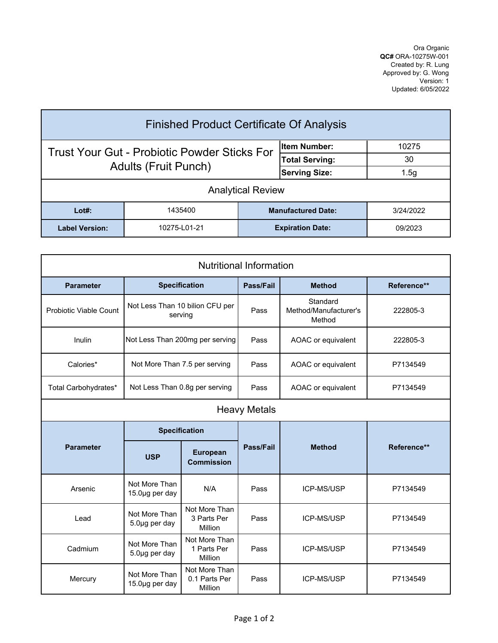Ora Organic **QC#** ORA-10275W-001 Created by: R. Lung Approved by: G. Wong Version: 1 Updated: 6/05/2022

| <b>Finished Product Certificate Of Analysis</b>     |              |                       |                           |           |  |  |
|-----------------------------------------------------|--------------|-----------------------|---------------------------|-----------|--|--|
| <b>Trust Your Gut - Probiotic Powder Sticks For</b> |              |                       | lltem Number:             | 10275     |  |  |
| <b>Adults (Fruit Punch)</b>                         |              | <b>Total Serving:</b> | 30                        |           |  |  |
|                                                     |              | <b>Serving Size:</b>  | 1.5g                      |           |  |  |
| <b>Analytical Review</b>                            |              |                       |                           |           |  |  |
| $Lot#$ :                                            | 1435400      |                       | <b>Manufactured Date:</b> | 3/24/2022 |  |  |
| <b>Label Version:</b>                               | 10275-L01-21 |                       | <b>Expiration Date:</b>   | 09/2023   |  |  |

| <b>Nutritional Information</b> |                                            |                                           |           |                                             |             |  |  |
|--------------------------------|--------------------------------------------|-------------------------------------------|-----------|---------------------------------------------|-------------|--|--|
| <b>Parameter</b>               |                                            | <b>Specification</b>                      | Pass/Fail | <b>Method</b>                               | Reference** |  |  |
| <b>Probiotic Viable Count</b>  | Not Less Than 10 bilion CFU per<br>serving |                                           | Pass      | Standard<br>Method/Manufacturer's<br>Method | 222805-3    |  |  |
| Inulin                         | Not Less Than 200mg per serving            |                                           | Pass      | AOAC or equivalent                          | 222805-3    |  |  |
| Calories*                      | Not More Than 7.5 per serving              |                                           | Pass      | AOAC or equivalent                          | P7134549    |  |  |
| Total Carbohydrates*           | Not Less Than 0.8g per serving             |                                           | Pass      | AOAC or equivalent                          | P7134549    |  |  |
| <b>Heavy Metals</b>            |                                            |                                           |           |                                             |             |  |  |
| <b>Parameter</b>               | <b>Specification</b>                       |                                           |           |                                             |             |  |  |
|                                | <b>USP</b>                                 | <b>European</b><br><b>Commission</b>      | Pass/Fail | <b>Method</b>                               | Reference** |  |  |
| Arsenic                        | Not More Than<br>15.0µg per day            | N/A                                       | Pass      | ICP-MS/USP                                  | P7134549    |  |  |
| Lead                           | Not More Than<br>5.0µg per day             | Not More Than<br>3 Parts Per<br>Million   | Pass      | <b>ICP-MS/USP</b>                           | P7134549    |  |  |
| Cadmium                        | Not More Than<br>5.0µg per day             | Not More Than<br>1 Parts Per<br>Million   | Pass      | ICP-MS/USP                                  | P7134549    |  |  |
| Mercury                        | Not More Than<br>15.0µg per day            | Not More Than<br>0.1 Parts Per<br>Million | Pass      | <b>ICP-MS/USP</b>                           | P7134549    |  |  |